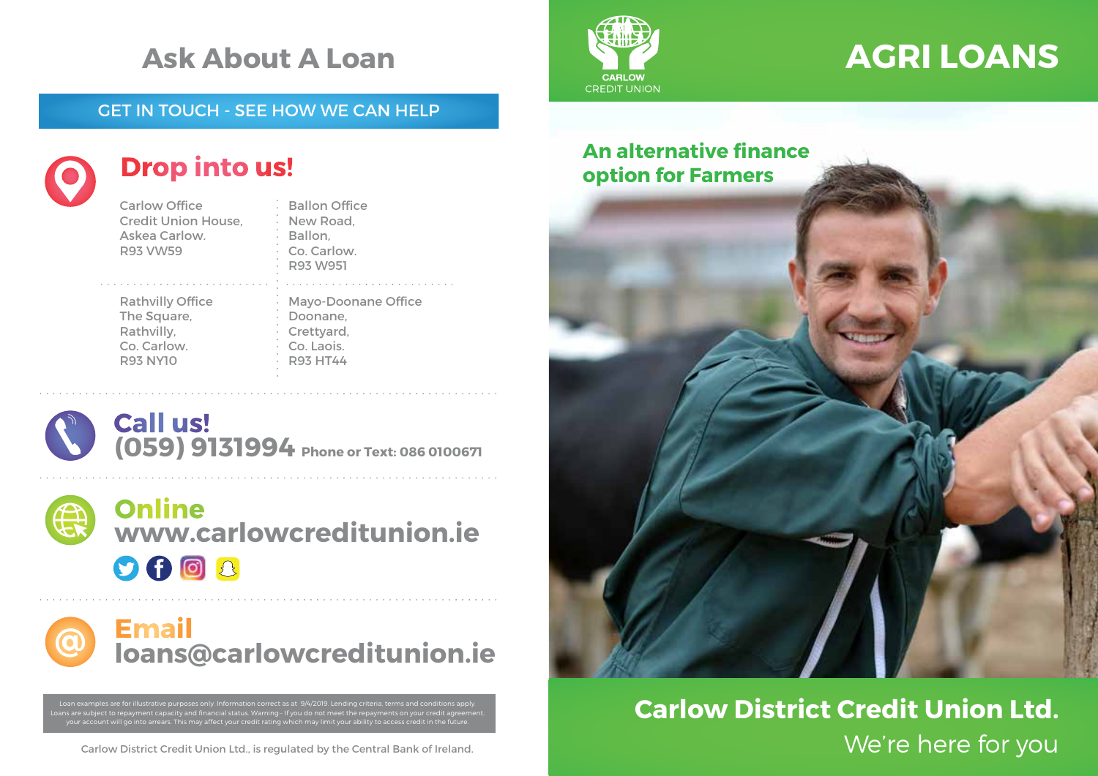## **Ask About A Loan**

### GET IN TOUCH - SEE HOW WE CAN HELP



### **Drop into us!**

Carlow Office Credit Union House, Askea Carlow. R93 VW59

Rathvilly Office The Square, Rathvilly, Co. Carlow. R93 NY10

New Road, Ballon, Co. Carlow. R93 W951 Mayo-Doonane Office Doonane, Crettyard, Co. Laois. R93 HT44

Ballon Office





**www.carlowcreditunion.ie**  $9602$ 

**Email loans@carlowcreditunion.ie**

Loan examples are for illustrative purposes only. Information correct as at 9/4/2019. Lending criteria, terms and conditions apply. Loans are subject to repayment capacity and financial status. Warning:- If you do not meet the repayments on your credit agreement, your account will go into arrears. This may affect your credit rating which may limit your ability to access credit in the future.



# **AGRI LOANS**

### **An alternative finance option for Farmers**



## We're here for you **Carlow District Credit Union Ltd.**